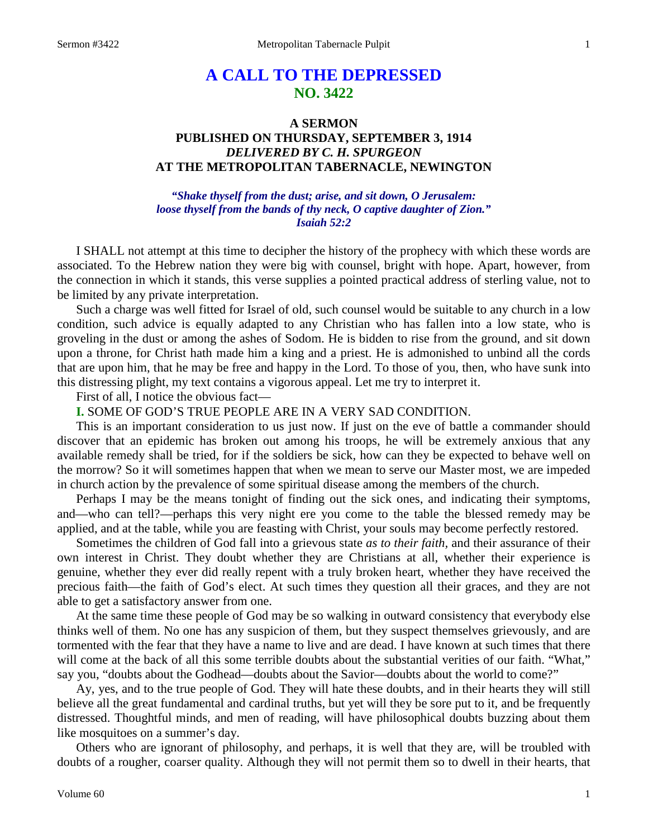# **A CALL TO THE DEPRESSED NO. 3422**

# **A SERMON PUBLISHED ON THURSDAY, SEPTEMBER 3, 1914** *DELIVERED BY C. H. SPURGEON* **AT THE METROPOLITAN TABERNACLE, NEWINGTON**

#### *"Shake thyself from the dust; arise, and sit down, O Jerusalem: loose thyself from the bands of thy neck, O captive daughter of Zion." Isaiah 52:2*

I SHALL not attempt at this time to decipher the history of the prophecy with which these words are associated. To the Hebrew nation they were big with counsel, bright with hope. Apart, however, from the connection in which it stands, this verse supplies a pointed practical address of sterling value, not to be limited by any private interpretation.

Such a charge was well fitted for Israel of old, such counsel would be suitable to any church in a low condition, such advice is equally adapted to any Christian who has fallen into a low state, who is groveling in the dust or among the ashes of Sodom. He is bidden to rise from the ground, and sit down upon a throne, for Christ hath made him a king and a priest. He is admonished to unbind all the cords that are upon him, that he may be free and happy in the Lord. To those of you, then, who have sunk into this distressing plight, my text contains a vigorous appeal. Let me try to interpret it.

First of all, I notice the obvious fact—

**I.** SOME OF GOD'S TRUE PEOPLE ARE IN A VERY SAD CONDITION.

This is an important consideration to us just now. If just on the eve of battle a commander should discover that an epidemic has broken out among his troops, he will be extremely anxious that any available remedy shall be tried, for if the soldiers be sick, how can they be expected to behave well on the morrow? So it will sometimes happen that when we mean to serve our Master most, we are impeded in church action by the prevalence of some spiritual disease among the members of the church.

Perhaps I may be the means tonight of finding out the sick ones, and indicating their symptoms, and—who can tell?—perhaps this very night ere you come to the table the blessed remedy may be applied, and at the table, while you are feasting with Christ, your souls may become perfectly restored.

Sometimes the children of God fall into a grievous state *as to their faith,* and their assurance of their own interest in Christ. They doubt whether they are Christians at all, whether their experience is genuine, whether they ever did really repent with a truly broken heart, whether they have received the precious faith—the faith of God's elect. At such times they question all their graces, and they are not able to get a satisfactory answer from one.

At the same time these people of God may be so walking in outward consistency that everybody else thinks well of them. No one has any suspicion of them, but they suspect themselves grievously, and are tormented with the fear that they have a name to live and are dead. I have known at such times that there will come at the back of all this some terrible doubts about the substantial verities of our faith. "What," say you, "doubts about the Godhead—doubts about the Savior—doubts about the world to come?"

Ay, yes, and to the true people of God. They will hate these doubts, and in their hearts they will still believe all the great fundamental and cardinal truths, but yet will they be sore put to it, and be frequently distressed. Thoughtful minds, and men of reading, will have philosophical doubts buzzing about them like mosquitoes on a summer's day.

Others who are ignorant of philosophy, and perhaps, it is well that they are, will be troubled with doubts of a rougher, coarser quality. Although they will not permit them so to dwell in their hearts, that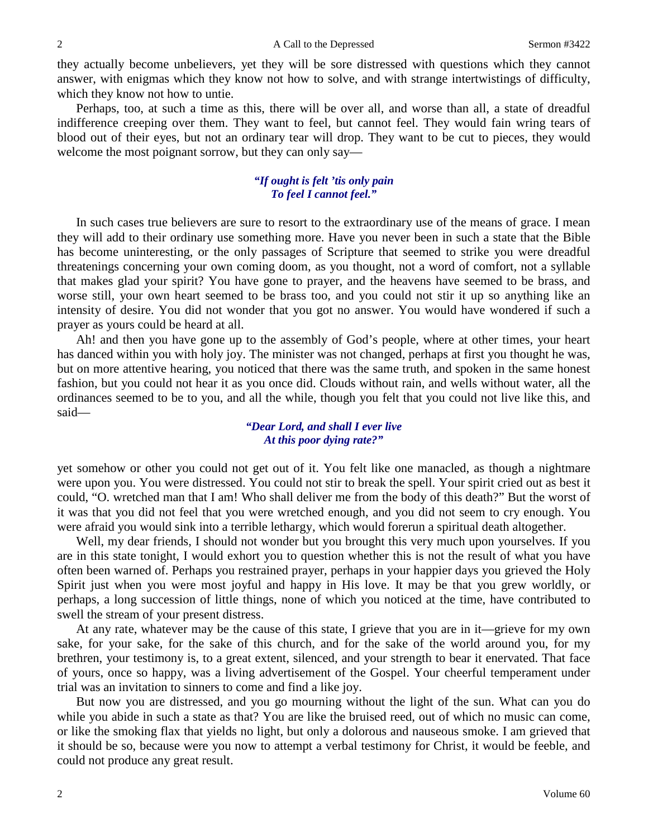they actually become unbelievers, yet they will be sore distressed with questions which they cannot answer, with enigmas which they know not how to solve, and with strange intertwistings of difficulty, which they know not how to untie.

Perhaps, too, at such a time as this, there will be over all, and worse than all, a state of dreadful indifference creeping over them. They want to feel, but cannot feel. They would fain wring tears of blood out of their eyes, but not an ordinary tear will drop. They want to be cut to pieces, they would welcome the most poignant sorrow, but they can only say—

## *"If ought is felt 'tis only pain To feel I cannot feel."*

In such cases true believers are sure to resort to the extraordinary use of the means of grace. I mean they will add to their ordinary use something more. Have you never been in such a state that the Bible has become uninteresting, or the only passages of Scripture that seemed to strike you were dreadful threatenings concerning your own coming doom, as you thought, not a word of comfort, not a syllable that makes glad your spirit? You have gone to prayer, and the heavens have seemed to be brass, and worse still, your own heart seemed to be brass too, and you could not stir it up so anything like an intensity of desire. You did not wonder that you got no answer. You would have wondered if such a prayer as yours could be heard at all.

Ah! and then you have gone up to the assembly of God's people, where at other times, your heart has danced within you with holy joy. The minister was not changed, perhaps at first you thought he was, but on more attentive hearing, you noticed that there was the same truth, and spoken in the same honest fashion, but you could not hear it as you once did. Clouds without rain, and wells without water, all the ordinances seemed to be to you, and all the while, though you felt that you could not live like this, and said—

#### *"Dear Lord, and shall I ever live At this poor dying rate?"*

yet somehow or other you could not get out of it. You felt like one manacled, as though a nightmare were upon you. You were distressed. You could not stir to break the spell. Your spirit cried out as best it could, "O. wretched man that I am! Who shall deliver me from the body of this death?" But the worst of it was that you did not feel that you were wretched enough, and you did not seem to cry enough. You were afraid you would sink into a terrible lethargy, which would forerun a spiritual death altogether.

Well, my dear friends, I should not wonder but you brought this very much upon yourselves. If you are in this state tonight, I would exhort you to question whether this is not the result of what you have often been warned of. Perhaps you restrained prayer, perhaps in your happier days you grieved the Holy Spirit just when you were most joyful and happy in His love. It may be that you grew worldly, or perhaps, a long succession of little things, none of which you noticed at the time, have contributed to swell the stream of your present distress.

At any rate, whatever may be the cause of this state, I grieve that you are in it—grieve for my own sake, for your sake, for the sake of this church, and for the sake of the world around you, for my brethren, your testimony is, to a great extent, silenced, and your strength to bear it enervated. That face of yours, once so happy, was a living advertisement of the Gospel. Your cheerful temperament under trial was an invitation to sinners to come and find a like joy.

But now you are distressed, and you go mourning without the light of the sun. What can you do while you abide in such a state as that? You are like the bruised reed, out of which no music can come, or like the smoking flax that yields no light, but only a dolorous and nauseous smoke. I am grieved that it should be so, because were you now to attempt a verbal testimony for Christ, it would be feeble, and could not produce any great result.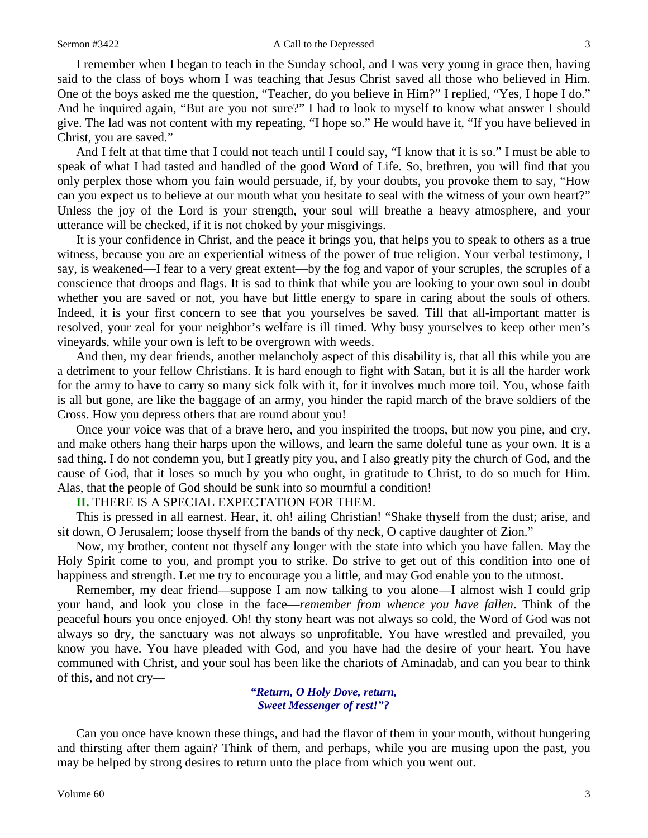I remember when I began to teach in the Sunday school, and I was very young in grace then, having said to the class of boys whom I was teaching that Jesus Christ saved all those who believed in Him. One of the boys asked me the question, "Teacher, do you believe in Him?" I replied, "Yes, I hope I do." And he inquired again, "But are you not sure?" I had to look to myself to know what answer I should give. The lad was not content with my repeating, "I hope so." He would have it, "If you have believed in Christ, you are saved."

And I felt at that time that I could not teach until I could say, "I know that it is so." I must be able to speak of what I had tasted and handled of the good Word of Life. So, brethren, you will find that you only perplex those whom you fain would persuade, if, by your doubts, you provoke them to say, "How can you expect us to believe at our mouth what you hesitate to seal with the witness of your own heart?" Unless the joy of the Lord is your strength, your soul will breathe a heavy atmosphere, and your utterance will be checked, if it is not choked by your misgivings.

It is your confidence in Christ, and the peace it brings you, that helps you to speak to others as a true witness, because you are an experiential witness of the power of true religion. Your verbal testimony, I say, is weakened—I fear to a very great extent—by the fog and vapor of your scruples, the scruples of a conscience that droops and flags. It is sad to think that while you are looking to your own soul in doubt whether you are saved or not, you have but little energy to spare in caring about the souls of others. Indeed, it is your first concern to see that you yourselves be saved. Till that all-important matter is resolved, your zeal for your neighbor's welfare is ill timed. Why busy yourselves to keep other men's vineyards, while your own is left to be overgrown with weeds.

And then, my dear friends, another melancholy aspect of this disability is, that all this while you are a detriment to your fellow Christians. It is hard enough to fight with Satan, but it is all the harder work for the army to have to carry so many sick folk with it, for it involves much more toil. You, whose faith is all but gone, are like the baggage of an army, you hinder the rapid march of the brave soldiers of the Cross. How you depress others that are round about you!

Once your voice was that of a brave hero, and you inspirited the troops, but now you pine, and cry, and make others hang their harps upon the willows, and learn the same doleful tune as your own. It is a sad thing. I do not condemn you, but I greatly pity you, and I also greatly pity the church of God, and the cause of God, that it loses so much by you who ought, in gratitude to Christ, to do so much for Him. Alas, that the people of God should be sunk into so mournful a condition!

#### **II.** THERE IS A SPECIAL EXPECTATION FOR THEM.

This is pressed in all earnest. Hear, it, oh! ailing Christian! "Shake thyself from the dust; arise, and sit down, O Jerusalem; loose thyself from the bands of thy neck, O captive daughter of Zion."

Now, my brother, content not thyself any longer with the state into which you have fallen. May the Holy Spirit come to you, and prompt you to strike. Do strive to get out of this condition into one of happiness and strength. Let me try to encourage you a little, and may God enable you to the utmost.

Remember, my dear friend—suppose I am now talking to you alone—I almost wish I could grip your hand, and look you close in the face—*remember from whence you have fallen*. Think of the peaceful hours you once enjoyed. Oh! thy stony heart was not always so cold, the Word of God was not always so dry, the sanctuary was not always so unprofitable. You have wrestled and prevailed, you know you have. You have pleaded with God, and you have had the desire of your heart. You have communed with Christ, and your soul has been like the chariots of Aminadab, and can you bear to think of this, and not cry—

> *"Return, O Holy Dove, return, Sweet Messenger of rest!"?*

Can you once have known these things, and had the flavor of them in your mouth, without hungering and thirsting after them again? Think of them, and perhaps, while you are musing upon the past, you may be helped by strong desires to return unto the place from which you went out.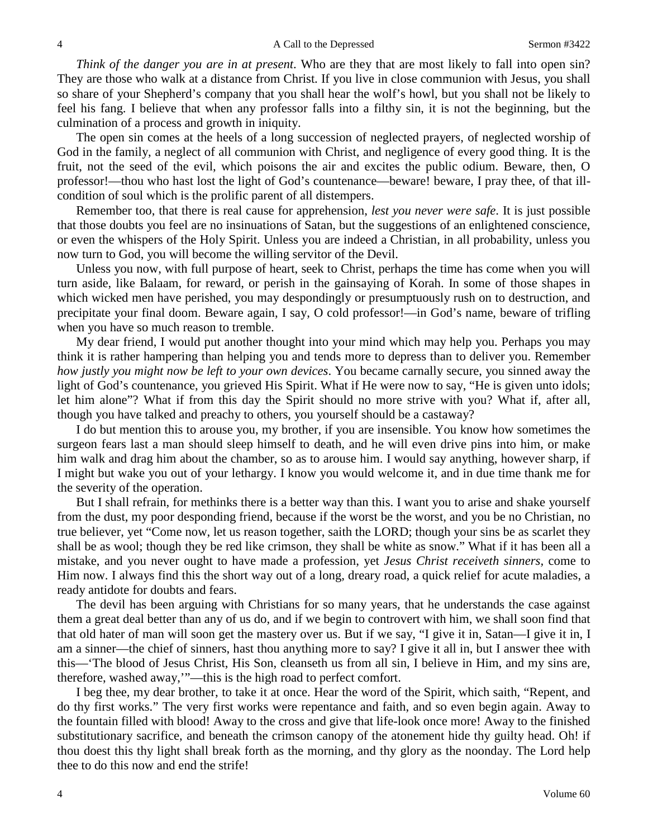*Think of the danger you are in at present*. Who are they that are most likely to fall into open sin? They are those who walk at a distance from Christ. If you live in close communion with Jesus, you shall so share of your Shepherd's company that you shall hear the wolf's howl, but you shall not be likely to feel his fang. I believe that when any professor falls into a filthy sin, it is not the beginning, but the culmination of a process and growth in iniquity.

The open sin comes at the heels of a long succession of neglected prayers, of neglected worship of God in the family, a neglect of all communion with Christ, and negligence of every good thing. It is the fruit, not the seed of the evil, which poisons the air and excites the public odium. Beware, then, O professor!—thou who hast lost the light of God's countenance—beware! beware, I pray thee, of that illcondition of soul which is the prolific parent of all distempers.

Remember too, that there is real cause for apprehension, *lest you never were safe*. It is just possible that those doubts you feel are no insinuations of Satan, but the suggestions of an enlightened conscience, or even the whispers of the Holy Spirit. Unless you are indeed a Christian, in all probability, unless you now turn to God, you will become the willing servitor of the Devil.

Unless you now, with full purpose of heart, seek to Christ, perhaps the time has come when you will turn aside, like Balaam, for reward, or perish in the gainsaying of Korah. In some of those shapes in which wicked men have perished, you may despondingly or presumptuously rush on to destruction, and precipitate your final doom. Beware again, I say, O cold professor!—in God's name, beware of trifling when you have so much reason to tremble.

My dear friend, I would put another thought into your mind which may help you. Perhaps you may think it is rather hampering than helping you and tends more to depress than to deliver you. Remember *how justly you might now be left to your own devices*. You became carnally secure, you sinned away the light of God's countenance, you grieved His Spirit. What if He were now to say, "He is given unto idols; let him alone"? What if from this day the Spirit should no more strive with you? What if, after all, though you have talked and preachy to others, you yourself should be a castaway?

I do but mention this to arouse you, my brother, if you are insensible. You know how sometimes the surgeon fears last a man should sleep himself to death, and he will even drive pins into him, or make him walk and drag him about the chamber, so as to arouse him. I would say anything, however sharp, if I might but wake you out of your lethargy. I know you would welcome it, and in due time thank me for the severity of the operation.

But I shall refrain, for methinks there is a better way than this. I want you to arise and shake yourself from the dust, my poor desponding friend, because if the worst be the worst, and you be no Christian, no true believer, yet "Come now, let us reason together, saith the LORD; though your sins be as scarlet they shall be as wool; though they be red like crimson, they shall be white as snow." What if it has been all a mistake, and you never ought to have made a profession, yet *Jesus Christ receiveth sinners,* come to Him now. I always find this the short way out of a long, dreary road, a quick relief for acute maladies, a ready antidote for doubts and fears.

The devil has been arguing with Christians for so many years, that he understands the case against them a great deal better than any of us do, and if we begin to controvert with him, we shall soon find that that old hater of man will soon get the mastery over us. But if we say, "I give it in, Satan—I give it in, I am a sinner—the chief of sinners, hast thou anything more to say? I give it all in, but I answer thee with this—'The blood of Jesus Christ, His Son, cleanseth us from all sin, I believe in Him, and my sins are, therefore, washed away,'"—this is the high road to perfect comfort.

I beg thee, my dear brother, to take it at once. Hear the word of the Spirit, which saith, "Repent, and do thy first works." The very first works were repentance and faith, and so even begin again. Away to the fountain filled with blood! Away to the cross and give that life-look once more! Away to the finished substitutionary sacrifice, and beneath the crimson canopy of the atonement hide thy guilty head. Oh! if thou doest this thy light shall break forth as the morning, and thy glory as the noonday. The Lord help thee to do this now and end the strife!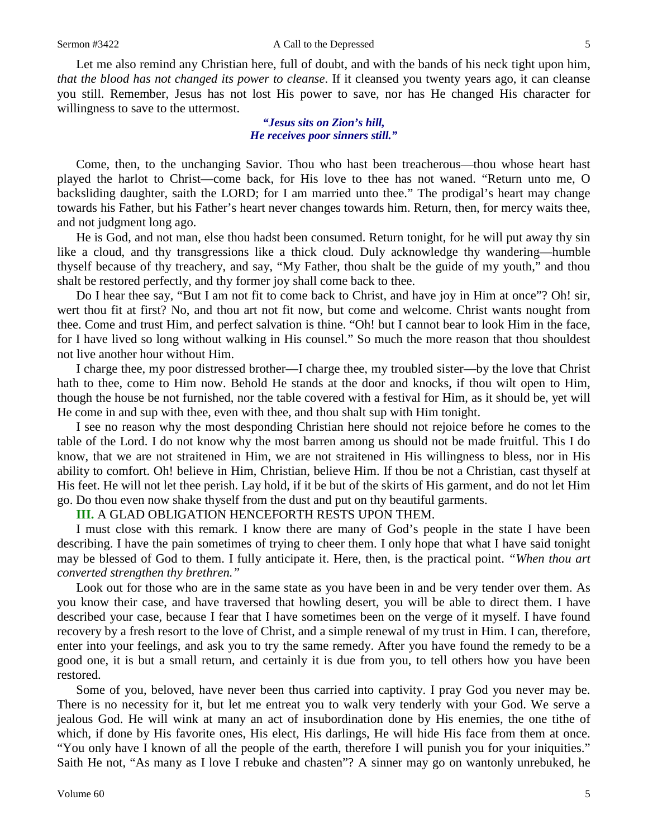Let me also remind any Christian here, full of doubt, and with the bands of his neck tight upon him, *that the blood has not changed its power to cleanse*. If it cleansed you twenty years ago, it can cleanse you still. Remember, Jesus has not lost His power to save, nor has He changed His character for willingness to save to the uttermost.

> *"Jesus sits on Zion's hill, He receives poor sinners still."*

Come, then, to the unchanging Savior. Thou who hast been treacherous—thou whose heart hast played the harlot to Christ—come back, for His love to thee has not waned. "Return unto me, O backsliding daughter, saith the LORD; for I am married unto thee." The prodigal's heart may change towards his Father, but his Father's heart never changes towards him. Return, then, for mercy waits thee, and not judgment long ago.

He is God, and not man, else thou hadst been consumed. Return tonight, for he will put away thy sin like a cloud, and thy transgressions like a thick cloud. Duly acknowledge thy wandering—humble thyself because of thy treachery, and say, "My Father, thou shalt be the guide of my youth," and thou shalt be restored perfectly, and thy former joy shall come back to thee.

Do I hear thee say, "But I am not fit to come back to Christ, and have joy in Him at once"? Oh! sir, wert thou fit at first? No, and thou art not fit now, but come and welcome. Christ wants nought from thee. Come and trust Him, and perfect salvation is thine. "Oh! but I cannot bear to look Him in the face, for I have lived so long without walking in His counsel." So much the more reason that thou shouldest not live another hour without Him.

I charge thee, my poor distressed brother—I charge thee, my troubled sister—by the love that Christ hath to thee, come to Him now. Behold He stands at the door and knocks, if thou wilt open to Him, though the house be not furnished, nor the table covered with a festival for Him, as it should be, yet will He come in and sup with thee, even with thee, and thou shalt sup with Him tonight.

I see no reason why the most desponding Christian here should not rejoice before he comes to the table of the Lord. I do not know why the most barren among us should not be made fruitful. This I do know, that we are not straitened in Him, we are not straitened in His willingness to bless, nor in His ability to comfort. Oh! believe in Him, Christian, believe Him. If thou be not a Christian, cast thyself at His feet. He will not let thee perish. Lay hold, if it be but of the skirts of His garment, and do not let Him go. Do thou even now shake thyself from the dust and put on thy beautiful garments.

**III.** A GLAD OBLIGATION HENCEFORTH RESTS UPON THEM.

I must close with this remark. I know there are many of God's people in the state I have been describing. I have the pain sometimes of trying to cheer them. I only hope that what I have said tonight may be blessed of God to them. I fully anticipate it. Here, then, is the practical point. *"When thou art converted strengthen thy brethren."*

Look out for those who are in the same state as you have been in and be very tender over them. As you know their case, and have traversed that howling desert, you will be able to direct them. I have described your case, because I fear that I have sometimes been on the verge of it myself. I have found recovery by a fresh resort to the love of Christ, and a simple renewal of my trust in Him. I can, therefore, enter into your feelings, and ask you to try the same remedy. After you have found the remedy to be a good one, it is but a small return, and certainly it is due from you, to tell others how you have been restored.

Some of you, beloved, have never been thus carried into captivity. I pray God you never may be. There is no necessity for it, but let me entreat you to walk very tenderly with your God. We serve a jealous God. He will wink at many an act of insubordination done by His enemies, the one tithe of which, if done by His favorite ones, His elect, His darlings, He will hide His face from them at once. "You only have I known of all the people of the earth, therefore I will punish you for your iniquities." Saith He not, "As many as I love I rebuke and chasten"? A sinner may go on wantonly unrebuked, he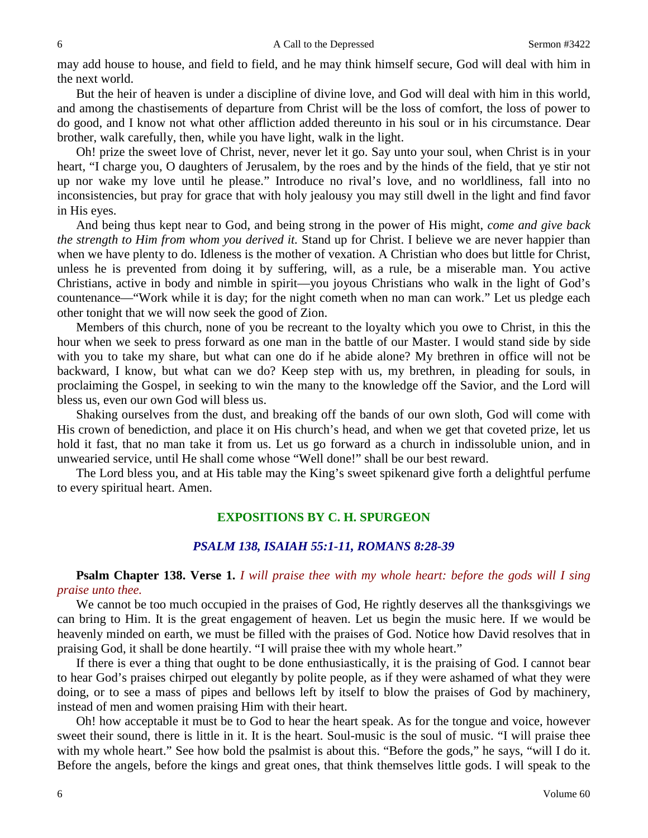may add house to house, and field to field, and he may think himself secure, God will deal with him in the next world.

But the heir of heaven is under a discipline of divine love, and God will deal with him in this world, and among the chastisements of departure from Christ will be the loss of comfort, the loss of power to do good, and I know not what other affliction added thereunto in his soul or in his circumstance. Dear brother, walk carefully, then, while you have light, walk in the light.

Oh! prize the sweet love of Christ, never, never let it go. Say unto your soul, when Christ is in your heart, "I charge you, O daughters of Jerusalem, by the roes and by the hinds of the field, that ye stir not up nor wake my love until he please." Introduce no rival's love, and no worldliness, fall into no inconsistencies, but pray for grace that with holy jealousy you may still dwell in the light and find favor in His eyes.

And being thus kept near to God, and being strong in the power of His might, *come and give back the strength to Him from whom you derived it.* Stand up for Christ. I believe we are never happier than when we have plenty to do. Idleness is the mother of vexation. A Christian who does but little for Christ, unless he is prevented from doing it by suffering, will, as a rule, be a miserable man. You active Christians, active in body and nimble in spirit—you joyous Christians who walk in the light of God's countenance—"Work while it is day; for the night cometh when no man can work." Let us pledge each other tonight that we will now seek the good of Zion.

Members of this church, none of you be recreant to the loyalty which you owe to Christ, in this the hour when we seek to press forward as one man in the battle of our Master. I would stand side by side with you to take my share, but what can one do if he abide alone? My brethren in office will not be backward, I know, but what can we do? Keep step with us, my brethren, in pleading for souls, in proclaiming the Gospel, in seeking to win the many to the knowledge off the Savior, and the Lord will bless us, even our own God will bless us.

Shaking ourselves from the dust, and breaking off the bands of our own sloth, God will come with His crown of benediction, and place it on His church's head, and when we get that coveted prize, let us hold it fast, that no man take it from us. Let us go forward as a church in indissoluble union, and in unwearied service, until He shall come whose "Well done!" shall be our best reward.

The Lord bless you, and at His table may the King's sweet spikenard give forth a delightful perfume to every spiritual heart. Amen.

# **EXPOSITIONS BY C. H. SPURGEON**

## *PSALM 138, ISAIAH 55:1-11, ROMANS 8:28-39*

# **Psalm Chapter 138. Verse 1.** *I will praise thee with my whole heart: before the gods will I sing praise unto thee.*

We cannot be too much occupied in the praises of God, He rightly deserves all the thanksgivings we can bring to Him. It is the great engagement of heaven. Let us begin the music here. If we would be heavenly minded on earth, we must be filled with the praises of God. Notice how David resolves that in praising God, it shall be done heartily. "I will praise thee with my whole heart."

If there is ever a thing that ought to be done enthusiastically, it is the praising of God. I cannot bear to hear God's praises chirped out elegantly by polite people, as if they were ashamed of what they were doing, or to see a mass of pipes and bellows left by itself to blow the praises of God by machinery, instead of men and women praising Him with their heart.

Oh! how acceptable it must be to God to hear the heart speak. As for the tongue and voice, however sweet their sound, there is little in it. It is the heart. Soul-music is the soul of music. "I will praise thee with my whole heart." See how bold the psalmist is about this. "Before the gods," he says, "will I do it. Before the angels, before the kings and great ones, that think themselves little gods. I will speak to the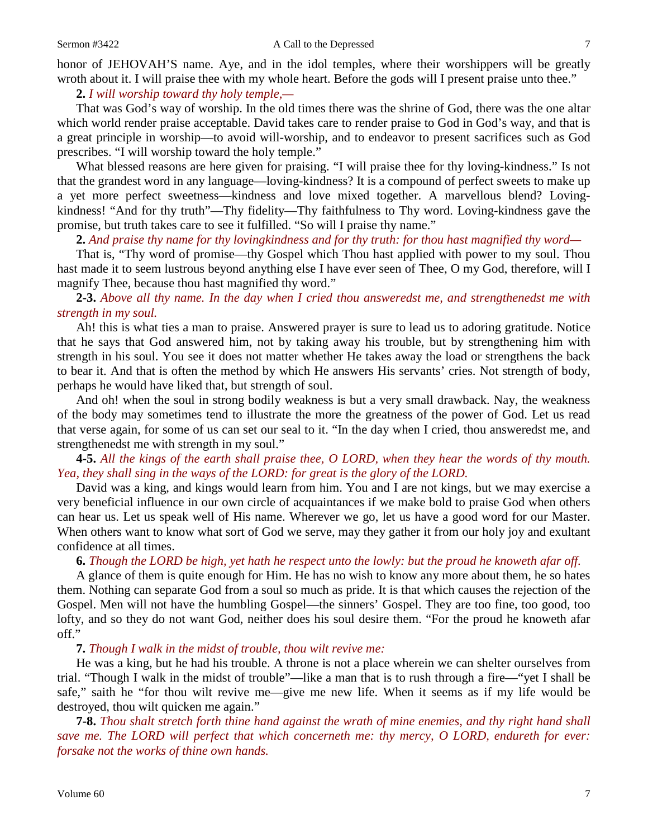honor of JEHOVAH'S name. Aye, and in the idol temples, where their worshippers will be greatly wroth about it. I will praise thee with my whole heart. Before the gods will I present praise unto thee."

**2.** *I will worship toward thy holy temple,—*

That was God's way of worship. In the old times there was the shrine of God, there was the one altar which world render praise acceptable. David takes care to render praise to God in God's way, and that is a great principle in worship—to avoid will-worship, and to endeavor to present sacrifices such as God prescribes. "I will worship toward the holy temple."

What blessed reasons are here given for praising. "I will praise thee for thy loving-kindness." Is not that the grandest word in any language—loving-kindness? It is a compound of perfect sweets to make up a yet more perfect sweetness—kindness and love mixed together. A marvellous blend? Lovingkindness! "And for thy truth"—Thy fidelity—Thy faithfulness to Thy word. Loving-kindness gave the promise, but truth takes care to see it fulfilled. "So will I praise thy name."

## **2.** *And praise thy name for thy lovingkindness and for thy truth: for thou hast magnified thy word—*

That is, "Thy word of promise—thy Gospel which Thou hast applied with power to my soul. Thou hast made it to seem lustrous beyond anything else I have ever seen of Thee, O my God, therefore, will I magnify Thee, because thou hast magnified thy word."

**2-3.** *Above all thy name. In the day when I cried thou answeredst me, and strengthenedst me with strength in my soul.*

Ah! this is what ties a man to praise. Answered prayer is sure to lead us to adoring gratitude. Notice that he says that God answered him, not by taking away his trouble, but by strengthening him with strength in his soul. You see it does not matter whether He takes away the load or strengthens the back to bear it. And that is often the method by which He answers His servants' cries. Not strength of body, perhaps he would have liked that, but strength of soul.

And oh! when the soul in strong bodily weakness is but a very small drawback. Nay, the weakness of the body may sometimes tend to illustrate the more the greatness of the power of God. Let us read that verse again, for some of us can set our seal to it. "In the day when I cried, thou answeredst me, and strengthenedst me with strength in my soul."

## **4-5.** *All the kings of the earth shall praise thee, O LORD, when they hear the words of thy mouth. Yea, they shall sing in the ways of the LORD: for great is the glory of the LORD.*

David was a king, and kings would learn from him. You and I are not kings, but we may exercise a very beneficial influence in our own circle of acquaintances if we make bold to praise God when others can hear us. Let us speak well of His name. Wherever we go, let us have a good word for our Master. When others want to know what sort of God we serve, may they gather it from our holy joy and exultant confidence at all times.

#### **6.** *Though the LORD be high, yet hath he respect unto the lowly: but the proud he knoweth afar off.*

A glance of them is quite enough for Him. He has no wish to know any more about them, he so hates them. Nothing can separate God from a soul so much as pride. It is that which causes the rejection of the Gospel. Men will not have the humbling Gospel—the sinners' Gospel. They are too fine, too good, too lofty, and so they do not want God, neither does his soul desire them. "For the proud he knoweth afar off."

**7.** *Though I walk in the midst of trouble, thou wilt revive me:*

He was a king, but he had his trouble. A throne is not a place wherein we can shelter ourselves from trial. "Though I walk in the midst of trouble"—like a man that is to rush through a fire—"yet I shall be safe," saith he "for thou wilt revive me—give me new life. When it seems as if my life would be destroyed, thou wilt quicken me again."

**7-8.** *Thou shalt stretch forth thine hand against the wrath of mine enemies, and thy right hand shall save me. The LORD will perfect that which concerneth me: thy mercy, O LORD, endureth for ever: forsake not the works of thine own hands.*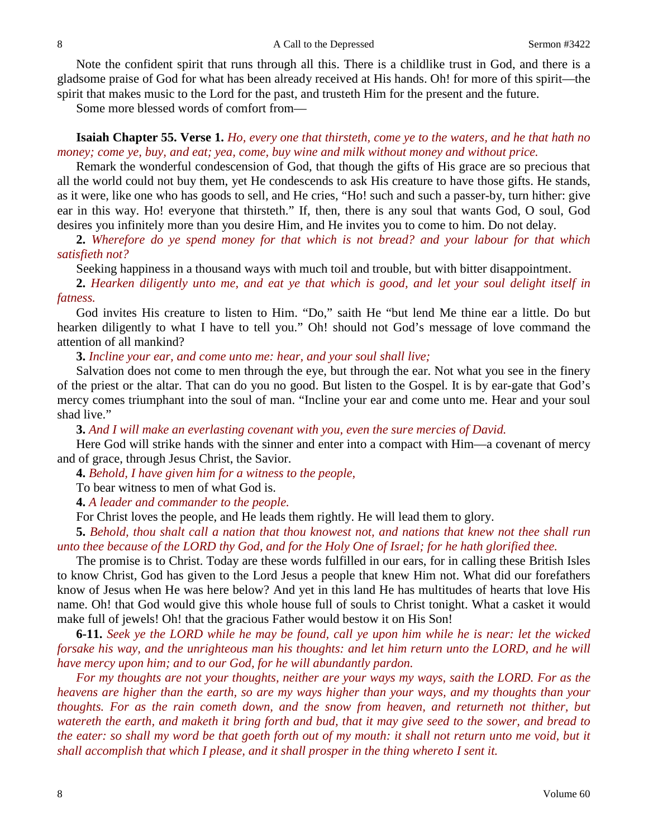Note the confident spirit that runs through all this. There is a childlike trust in God, and there is a gladsome praise of God for what has been already received at His hands. Oh! for more of this spirit—the spirit that makes music to the Lord for the past, and trusteth Him for the present and the future.

Some more blessed words of comfort from—

## **Isaiah Chapter 55. Verse 1.** *Ho, every one that thirsteth, come ye to the waters, and he that hath no money; come ye, buy, and eat; yea, come, buy wine and milk without money and without price.*

Remark the wonderful condescension of God, that though the gifts of His grace are so precious that all the world could not buy them, yet He condescends to ask His creature to have those gifts. He stands, as it were, like one who has goods to sell, and He cries, "Ho! such and such a passer-by, turn hither: give ear in this way. Ho! everyone that thirsteth." If, then, there is any soul that wants God, O soul, God desires you infinitely more than you desire Him, and He invites you to come to him. Do not delay.

**2.** *Wherefore do ye spend money for that which is not bread? and your labour for that which satisfieth not?*

Seeking happiness in a thousand ways with much toil and trouble, but with bitter disappointment.

**2.** *Hearken diligently unto me, and eat ye that which is good, and let your soul delight itself in fatness.*

God invites His creature to listen to Him. "Do," saith He "but lend Me thine ear a little. Do but hearken diligently to what I have to tell you." Oh! should not God's message of love command the attention of all mankind?

**3.** *Incline your ear, and come unto me: hear, and your soul shall live;*

Salvation does not come to men through the eye, but through the ear. Not what you see in the finery of the priest or the altar. That can do you no good. But listen to the Gospel. It is by ear-gate that God's mercy comes triumphant into the soul of man. "Incline your ear and come unto me. Hear and your soul shad live."

**3.** *And I will make an everlasting covenant with you, even the sure mercies of David.*

Here God will strike hands with the sinner and enter into a compact with Him—a covenant of mercy and of grace, through Jesus Christ, the Savior.

**4.** *Behold, I have given him for a witness to the people,*

To bear witness to men of what God is.

**4.** *A leader and commander to the people.*

For Christ loves the people, and He leads them rightly. He will lead them to glory.

**5.** *Behold, thou shalt call a nation that thou knowest not, and nations that knew not thee shall run unto thee because of the LORD thy God, and for the Holy One of Israel; for he hath glorified thee.*

The promise is to Christ. Today are these words fulfilled in our ears, for in calling these British Isles to know Christ, God has given to the Lord Jesus a people that knew Him not. What did our forefathers know of Jesus when He was here below? And yet in this land He has multitudes of hearts that love His name. Oh! that God would give this whole house full of souls to Christ tonight. What a casket it would make full of jewels! Oh! that the gracious Father would bestow it on His Son!

**6-11.** *Seek ye the LORD while he may be found, call ye upon him while he is near: let the wicked forsake his way, and the unrighteous man his thoughts: and let him return unto the LORD, and he will have mercy upon him; and to our God, for he will abundantly pardon.* 

*For my thoughts are not your thoughts, neither are your ways my ways, saith the LORD. For as the heavens are higher than the earth, so are my ways higher than your ways, and my thoughts than your thoughts. For as the rain cometh down, and the snow from heaven, and returneth not thither, but watereth the earth, and maketh it bring forth and bud, that it may give seed to the sower, and bread to the eater: so shall my word be that goeth forth out of my mouth: it shall not return unto me void, but it shall accomplish that which I please, and it shall prosper in the thing whereto I sent it.*